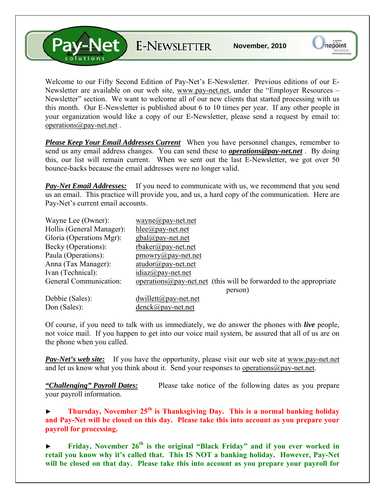**Pay-Net** E-NEWSLETTER

Welcome to our Fifty Second Edition of Pay-Net's E-Newsletter. Previous editions of our E-Newsletter are available on our web site, [www.pay-net.net](http://www.pay-net.net/), under the "Employer Resources – Newsletter" section. We want to welcome all of our new clients that started processing with us this month. Our E-Newsletter is published about 6 to 10 times per year. If any other people in your organization would like a copy of our E-Newsletter, please send a request by email to: [operations@pay-net.net](mailto:operations@pay-net.net) .

*Please Keep Your Email Addresses Current* When you have personnel changes, remember to send us any email address changes. You can send these to *[operations@pay-net.net](mailto:operations@pay-net.net)* . By doing this, our list will remain current. When we sent out the last E-Newsletter, we got over 50 bounce-backs because the email addresses were no longer valid.

**Pay-Net Email Addresses:** If you need to communicate with us, we recommend that you send us an email. This practice will provide you, and us, a hard copy of the communication. Here are Pay-Net's current email accounts.

| Wayne Lee (Owner):        | wayne@pay-net.net                                                          |
|---------------------------|----------------------------------------------------------------------------|
| Hollis (General Manager): | $hlee(\partial p$ ay-net.net                                               |
| Gloria (Operations Mgr):  | $gbal(\partial_t)$ pay-net.net                                             |
| Becky (Operations):       | $r$ baker@pay-net.net                                                      |
| Paula (Operations):       | $\text{p}$ mowry@pay-net.net                                               |
| Anna (Tax Manager):       | $atudor@pay-net.net$                                                       |
| Ivan (Technical):         | $idiaz(\omega)$ pay-net.net                                                |
| General Communication:    | operations $\omega$ pay-net net (this will be forwarded to the appropriate |
|                           | person)                                                                    |
| Debbie (Sales):           | $dwillet(\mathcal{Q}$ pay-net.net                                          |
| Don (Sales):              | $denck@pay-net.net$                                                        |

Of course, if you need to talk with us immediately, we do answer the phones with *live* people, not voice mail. If you happen to get into our voice mail system, be assured that all of us are on the phone when you called.

*Pay-Net's web site:* If you have the opportunity, please visit our web site at [www.pay-net.net](http://www.pay-net.net/)  and let us know what you think about it. Send your responses to [operations@pay-net.net](mailto:website@pay-net.net).

*"Challenging" Payroll Dates:* Please take notice of the following dates as you prepare your payroll information.

► **Thursday, November 25th is Thanksgiving Day. This is a normal banking holiday and Pay-Net will be closed on this day. Please take this into account as you prepare your payroll for processing.** 

Friday, November 26<sup>th</sup> is the original "Black Friday" and if you ever worked in **retail you know why it's called that. This IS NOT a banking holiday. However, Pay-Net will be closed on that day. Please take this into account as you prepare your payroll for**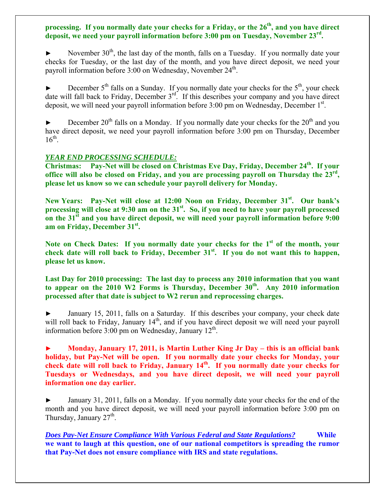## processing. If you normally date your checks for a Friday, or the 26<sup>th</sup>, and you have direct **deposit, we need your payroll information before 3:00 pm on Tuesday, November 23rd.**

November  $30<sup>th</sup>$ , the last day of the month, falls on a Tuesday. If you normally date your checks for Tuesday, or the last day of the month, and you have direct deposit, we need your payroll information before  $3:00$  on Wednesday, November  $24<sup>th</sup>$ .

December  $5<sup>th</sup>$  falls on a Sunday. If you normally date your checks for the  $5<sup>th</sup>$ , your check date will fall back to Friday, December  $3<sup>rd</sup>$ . If this describes your company and you have direct deposit, we will need your payroll information before  $3:00$  pm on Wednesday, December  $1<sup>st</sup>$ .

December  $20<sup>th</sup>$  falls on a Monday. If you normally date your checks for the  $20<sup>th</sup>$  and you have direct deposit, we need your payroll information before 3:00 pm on Thursday, December  $16^{th}$ .

## *YEAR END PROCESSING SCHEDULE:*

**Christmas:** Pay-Net will be closed on Christmas Eve Day, Friday, December 24<sup>th</sup>. If your **office will also be closed on Friday, and you are processing payroll on Thursday the 23rd, please let us know so we can schedule your payroll delivery for Monday.** 

New Years: Pay-Net will close at 12:00 Noon on Friday, December 31<sup>st</sup>. Our bank's processing will close at 9:30 am on the 31<sup>st</sup>. So, if you need to have your payroll processed on the 31<sup>st</sup> and you have direct deposit, we will need your payroll information before 9:00 am on Friday, December 31<sup>st</sup>.

Note on Check Dates: If you normally date your checks for the 1<sup>st</sup> of the month, your check date will roll back to Friday, December 31<sup>st</sup>. If you do not want this to happen, **please let us know.** 

**Last Day for 2010 processing: The last day to process any 2010 information that you want**  to appear on the 2010 W2 Forms is Thursday, December 30<sup>th</sup>. Any 2010 information **processed after that date is subject to W2 rerun and reprocessing charges.** 

January 15, 2011, falls on a Saturday. If this describes your company, your check date will roll back to Friday, January 14<sup>th</sup>, and if you have direct deposit we will need your payroll information before  $3:00$  pm on Wednesday, January  $12<sup>th</sup>$ .

**► Monday, January 17, 2011, is Martin Luther King Jr Day – this is an official bank holiday, but Pay-Net will be open. If you normally date your checks for Monday, your**  check date will roll back to Friday, January 14<sup>th</sup>. If you normally date your checks for **Tuesdays or Wednesdays, and you have direct deposit, we will need your payroll information one day earlier.**

January 31, 2011, falls on a Monday. If you normally date your checks for the end of the month and you have direct deposit, we will need your payroll information before 3:00 pm on Thursday, January  $27<sup>th</sup>$ .

*Does Pay-Net Ensure Compliance With Various Federal and State Regulations?* **While we want to laugh at this question, one of our national competitors is spreading the rumor that Pay-Net does not ensure compliance with IRS and state regulations.**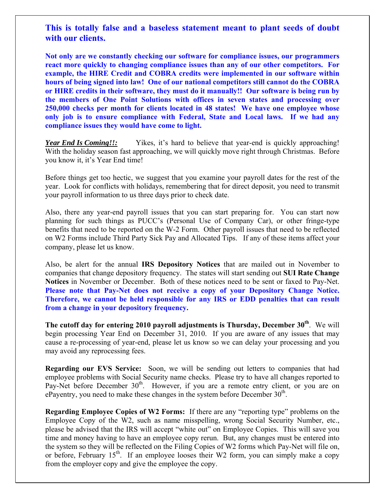## **This is totally false and a baseless statement meant to plant seeds of doubt with our clients.**

**Not only are we constantly checking our software for compliance issues, our programmers react more quickly to changing compliance issues than any of our other competitors. For example, the HIRE Credit and COBRA credits were implemented in our software within hours of being signed into law! One of our national competitors still cannot do the COBRA or HIRE credits in their software, they must do it manually!! Our software is being run by the members of One Point Solutions with offices in seven states and processing over 250,000 checks per month for clients located in 48 states! We have one employee whose only job is to ensure compliance with Federal, State and Local laws. If we had any compliance issues they would have come to light.**

*Year End Is Coming!!:* Yikes, it's hard to believe that year-end is quickly approaching! With the holiday season fast approaching, we will quickly move right through Christmas. Before you know it, it's Year End time!

Before things get too hectic, we suggest that you examine your payroll dates for the rest of the year. Look for conflicts with holidays, remembering that for direct deposit, you need to transmit your payroll information to us three days prior to check date.

Also, there any year-end payroll issues that you can start preparing for. You can start now planning for such things as PUCC's (Personal Use of Company Car), or other fringe-type benefits that need to be reported on the W-2 Form. Other payroll issues that need to be reflected on W2 Forms include Third Party Sick Pay and Allocated Tips. If any of these items affect your company, please let us know.

Also, be alert for the annual **IRS Depository Notices** that are mailed out in November to companies that change depository frequency. The states will start sending out **SUI Rate Change Notices** in November or December. Both of these notices need to be sent or faxed to Pay-Net. **Please note that Pay-Net does not receive a copy of your Depository Change Notice. Therefore, we cannot be held responsible for any IRS or EDD penalties that can result from a change in your depository frequency.**

The cutoff day for entering 2010 payroll adjustments is Thursday, December 30<sup>th</sup>. We will begin processing Year End on December 31, 2010. If you are aware of any issues that may cause a re-processing of year-end, please let us know so we can delay your processing and you may avoid any reprocessing fees.

**Regarding our EVS Service:** Soon, we will be sending out letters to companies that had employee problems with Social Security name checks. Please try to have all changes reported to Pay-Net before December 30<sup>th</sup>. However, if you are a remote entry client, or you are on ePayentry, you need to make these changes in the system before December  $30<sup>th</sup>$ .

**Regarding Employee Copies of W2 Forms:** If there are any "reporting type" problems on the Employee Copy of the W2, such as name misspelling, wrong Social Security Number, etc., please be advised that the IRS will accept "white out" on Employee Copies. This will save you time and money having to have an employee copy rerun. But, any changes must be entered into the system so they will be reflected on the Filing Copies of W2 forms which Pay-Net will file on, or before, February  $15<sup>th</sup>$ . If an employee looses their W2 form, you can simply make a copy from the employer copy and give the employee the copy.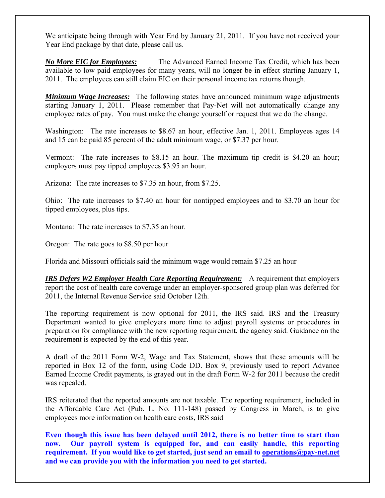We anticipate being through with Year End by January 21, 2011. If you have not received your Year End package by that date, please call us.

*No More EIC for Employees:* The Advanced Earned Income Tax Credit, which has been available to low paid employees for many years, will no longer be in effect starting January 1, 2011. The employees can still claim EIC on their personal income tax returns though.

*Minimum Wage Increases:* The following states have announced minimum wage adjustments starting January 1, 2011. Please remember that Pay-Net will not automatically change any employee rates of pay. You must make the change yourself or request that we do the change.

Washington: The rate increases to \$8.67 an hour, effective Jan. 1, 2011. Employees ages 14 and 15 can be paid 85 percent of the adult minimum wage, or \$7.37 per hour.

Vermont: The rate increases to \$8.15 an hour. The maximum tip credit is \$4.20 an hour; employers must pay tipped employees \$3.95 an hour.

Arizona: The rate increases to \$7.35 an hour, from \$7.25.

Ohio: The rate increases to \$7.40 an hour for nontipped employees and to \$3.70 an hour for tipped employees, plus tips.

Montana: The rate increases to \$7.35 an hour.

Oregon: The rate goes to \$8.50 per hour

Florida and Missouri officials said the minimum wage would remain \$7.25 an hour

*IRS Defers W2 Employer Health Care Reporting Requirement:* A requirement that employers report the cost of health care coverage under an employer-sponsored group plan was deferred for 2011, the Internal Revenue Service said October 12th.

The reporting requirement is now optional for 2011, the IRS said. IRS and the Treasury Department wanted to give employers more time to adjust payroll systems or procedures in preparation for compliance with the new reporting requirement, the agency said. Guidance on the requirement is expected by the end of this year.

A draft of the 2011 Form W-2, Wage and Tax Statement, shows that these amounts will be reported in Box 12 of the form, using Code DD. Box 9, previously used to report Advance Earned Income Credit payments, is grayed out in the draft Form W-2 for 2011 because the credit was repealed.

IRS reiterated that the reported amounts are not taxable. The reporting requirement, included in the Affordable Care Act (Pub. L. No. 111-148) passed by Congress in March, is to give employees more information on health care costs, IRS said

**Even though this issue has been delayed until 2012, there is no better time to start than now. Our payroll system is equipped for, and can easily handle, this reporting requirement. If you would like to get started, just send an email to [operations@pay-net.net](mailto:operations@pay-net.net) and we can provide you with the information you need to get started.**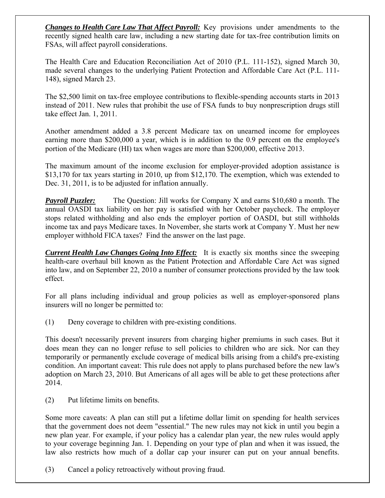*Changes to Health Care Law That Affect Payroll:* Key provisions under amendments to the recently signed health care law, including a new starting date for tax-free contribution limits on FSAs, will affect payroll considerations.

The Health Care and Education Reconciliation Act of 2010 (P.L. 111-152), signed March 30, made several changes to the underlying Patient Protection and Affordable Care Act (P.L. 111- 148), signed March 23.

The \$2,500 limit on tax-free employee contributions to flexible-spending accounts starts in 2013 instead of 2011. New rules that prohibit the use of FSA funds to buy nonprescription drugs still take effect Jan. 1, 2011.

Another amendment added a 3.8 percent Medicare tax on unearned income for employees earning more than \$200,000 a year, which is in addition to the 0.9 percent on the employee's portion of the Medicare (HI) tax when wages are more than \$200,000, effective 2013.

The maximum amount of the income exclusion for employer-provided adoption assistance is \$13,170 for tax years starting in 2010, up from \$12,170. The exemption, which was extended to Dec. 31, 2011, is to be adjusted for inflation annually.

*Payroll Puzzler:* The Question: Jill works for Company X and earns \$10,680 a month. The annual OASDI tax liability on her pay is satisfied with her October paycheck. The employer stops related withholding and also ends the employer portion of OASDI, but still withholds income tax and pays Medicare taxes. In November, she starts work at Company Y. Must her new employer withhold FICA taxes? Find the answer on the last page.

*Current Health Law Changes Going Into Effect:* It is exactly six months since the sweeping health-care overhaul bill known as the Patient Protection and Affordable Care Act was signed into law, and on September 22, 2010 a number of consumer protections provided by the law took effect.

For all plans including individual and group policies as well as employer-sponsored plans insurers will no longer be permitted to:

(1) Deny coverage to children with pre-existing conditions.

This doesn't necessarily prevent insurers from charging higher premiums in such cases. But it does mean they can no longer refuse to sell policies to children who are sick. Nor can they temporarily or permanently exclude coverage of medical bills arising from a child's pre-existing condition. An important caveat: This rule does not apply to plans purchased before the new law's adoption on March 23, 2010. But Americans of all ages will be able to get these protections after 2014.

(2) Put lifetime limits on benefits.

Some more caveats: A plan can still put a lifetime dollar limit on spending for health services that the government does not deem "essential." The new rules may not kick in until you begin a new plan year. For example, if your policy has a calendar plan year, the new rules would apply to your coverage beginning Jan. 1. Depending on your type of plan and when it was issued, the law also restricts how much of a dollar cap your insurer can put on your annual benefits.

(3) Cancel a policy retroactively without proving fraud.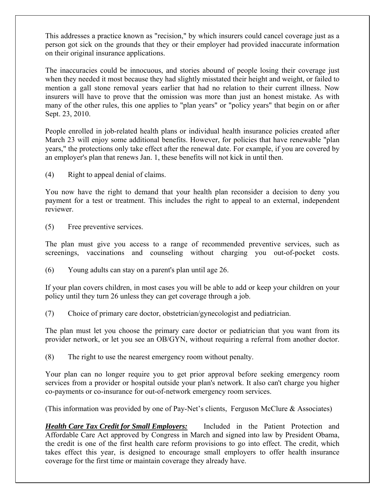This addresses a practice known as "recision," by which insurers could cancel coverage just as a person got sick on the grounds that they or their employer had provided inaccurate information on their original insurance applications.

The inaccuracies could be innocuous, and stories abound of people losing their coverage just when they needed it most because they had slightly misstated their height and weight, or failed to mention a gall stone removal years earlier that had no relation to their current illness. Now insurers will have to prove that the omission was more than just an honest mistake. As with many of the other rules, this one applies to "plan years" or "policy years" that begin on or after Sept. 23, 2010.

People enrolled in job-related health plans or individual health insurance policies created after March 23 will enjoy some additional benefits. However, for policies that have renewable "plan years," the protections only take effect after the renewal date. For example, if you are covered by an employer's plan that renews Jan. 1, these benefits will not kick in until then.

(4) Right to appeal denial of claims.

You now have the right to demand that your health plan reconsider a decision to deny you payment for a test or treatment. This includes the right to appeal to an external, independent reviewer.

(5) Free preventive services.

The plan must give you access to a range of recommended preventive services, such as screenings, vaccinations and counseling without charging you out-of-pocket costs.

(6) Young adults can stay on a parent's plan until age 26.

If your plan covers children, in most cases you will be able to add or keep your children on your policy until they turn 26 unless they can get coverage through a job.

(7) Choice of primary care doctor, obstetrician/gynecologist and pediatrician.

The plan must let you choose the primary care doctor or pediatrician that you want from its provider network, or let you see an OB/GYN, without requiring a referral from another doctor.

(8) The right to use the nearest emergency room without penalty.

Your plan can no longer require you to get prior approval before seeking emergency room services from a provider or hospital outside your plan's network. It also can't charge you higher co-payments or co-insurance for out-of-network emergency room services.

(This information was provided by one of Pay-Net's clients, Ferguson McClure & Associates)

*Health Care Tax Credit for Small Employers:* Included in the Patient Protection and Affordable Care Act approved by Congress in March and signed into law by President Obama, the credit is one of the first health care reform provisions to go into effect. The credit, which takes effect this year, is designed to encourage small employers to offer health insurance coverage for the first time or maintain coverage they already have.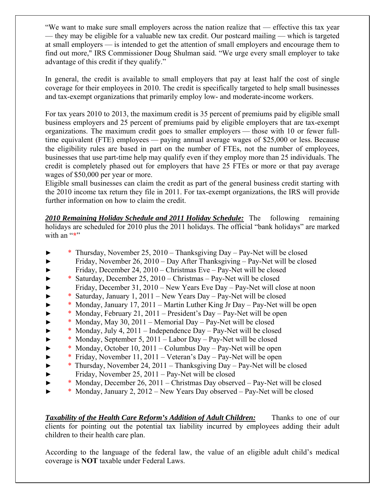"We want to make sure small employers across the nation realize that — effective this tax year — they may be eligible for a valuable new tax credit. Our postcard mailing — which is targeted at small employers — is intended to get the attention of small employers and encourage them to find out more," IRS Commissioner Doug Shulman said. "We urge every small employer to take advantage of this credit if they qualify."

In general, the credit is available to small employers that pay at least half the cost of single coverage for their employees in 2010. The credit is specifically targeted to help small businesses and tax-exempt organizations that primarily employ low- and moderate-income workers.

For tax years 2010 to 2013, the maximum credit is 35 percent of premiums paid by eligible small business employers and 25 percent of premiums paid by eligible employers that are tax-exempt organizations. The maximum credit goes to smaller employers — those with 10 or fewer fulltime equivalent (FTE) employees — paying annual average wages of \$25,000 or less. Because the eligibility rules are based in part on the number of FTEs, not the number of employees, businesses that use part-time help may qualify even if they employ more than 25 individuals. The credit is completely phased out for employers that have 25 FTEs or more or that pay average wages of \$50,000 per year or more.

Eligible small businesses can claim the credit as part of the general business credit starting with the 2010 income tax return they file in 2011. For tax-exempt organizations, the IRS will provide further information on how to claim the credit.

*2010 Remaining Holiday Schedule and 2011 Holiday Schedule:* The following remaining holidays are scheduled for 2010 plus the 2011 holidays. The official "bank holidays" are marked with an "\*"

- ► \* Thursday, November 25, 2010 Thanksgiving Day Pay-Net will be closed
- ► Friday, November 26, 2010 Day After Thanksgiving Pay-Net will be closed
- ► Friday, December 24, 2010 Christmas Eve Pay-Net will be closed
- ► \* Saturday, December 25, 2010 Christmas Pay-Net will be closed
- ► Friday, December 31, 2010 New Years Eve Day Pay-Net will close at noon
- ► \* Saturday, January 1, 2011 New Years Day Pay-Net will be closed
- ► \* Monday, January 17, 2011 Martin Luther King Jr Day Pay-Net will be open
- ► \* Monday, February 21, 2011 President's Day Pay-Net will be open
- ► \* Monday, May 30, 2011 Memorial Day Pay-Net will be closed
- ► \* Monday, July 4, 2011 Independence Day Pay-Net will be closed
- ► \* Monday, September 5, 2011 Labor Day Pay-Net will be closed
- ► \* Monday, October 10, 2011 Columbus Day Pay-Net will be open
- ► \* Friday, November 11, 2011 Veteran's Day Pay-Net will be open
- ► \* Thursday, November 24, 2011 Thanksgiving Day Pay-Net will be closed
- ► Friday, November 25, 2011 Pay-Net will be closed
- ► \* Monday, December 26, 2011 Christmas Day observed Pay-Net will be closed
- ► \* Monday, January 2, 2012 New Years Day observed Pay-Net will be closed

*Taxability of the Health Care Reform's Addition of Adult Children:* Thanks to one of our clients for pointing out the potential tax liability incurred by employees adding their adult children to their health care plan.

According to the language of the federal law, the value of an eligible adult child's medical coverage is **NOT** taxable under Federal Laws.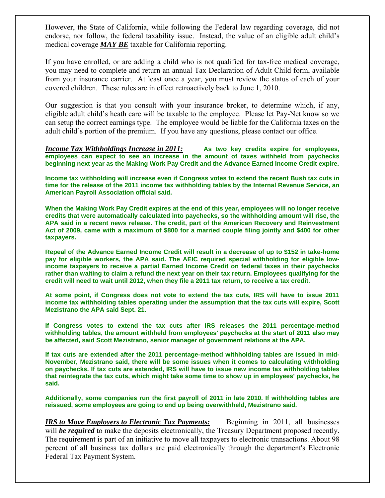However, the State of California, while following the Federal law regarding coverage, did not endorse, nor follow, the federal taxability issue. Instead, the value of an eligible adult child's medical coverage *MAY BE* taxable for California reporting.

If you have enrolled, or are adding a child who is not qualified for tax-free medical coverage, you may need to complete and return an annual Tax Declaration of Adult Child form, available from your insurance carrier. At least once a year, you must review the status of each of your covered children. These rules are in effect retroactively back to June 1, 2010.

Our suggestion is that you consult with your insurance broker, to determine which, if any, eligible adult child's heath care will be taxable to the employee. Please let Pay-Net know so we can setup the correct earnings type. The employee would be liable for the California taxes on the adult child's portion of the premium. If you have any questions, please contact our office.

*Income Tax Withholdings Increase in 2011:* **As two key credits expire for employees, employees can expect to see an increase in the amount of taxes withheld from paychecks beginning next year as the Making Work Pay Credit and the Advance Earned Income Credit expire.** 

**Income tax withholding will increase even if Congress votes to extend the recent Bush tax cuts in time for the release of the 2011 income tax withholding tables by the Internal Revenue Service, an American Payroll Association official said.** 

**When the Making Work Pay Credit expires at the end of this year, employees will no longer receive credits that were automatically calculated into paychecks, so the withholding amount will rise, the APA said in a recent news release. The credit, part of the American Recovery and Reinvestment Act of 2009, came with a maximum of \$800 for a married couple filing jointly and \$400 for other taxpayers.** 

**Repeal of the Advance Earned Income Credit will result in a decrease of up to \$152 in take-home pay for eligible workers, the APA said. The AEIC required special withholding for eligible lowincome taxpayers to receive a partial Earned Income Credit on federal taxes in their paychecks rather than waiting to claim a refund the next year on their tax return. Employees qualifying for the credit will need to wait until 2012, when they file a 2011 tax return, to receive a tax credit.** 

**At some point, if Congress does not vote to extend the tax cuts, IRS will have to issue 2011 income tax withholding tables operating under the assumption that the tax cuts will expire, Scott Mezistrano the APA said Sept. 21.** 

**If Congress votes to extend the tax cuts after IRS releases the 2011 percentage-method withholding tables, the amount withheld from employees' paychecks at the start of 2011 also may be affected, said Scott Mezistrano, senior manager of government relations at the APA.** 

**If tax cuts are extended after the 2011 percentage-method withholding tables are issued in mid-November, Mezistrano said, there will be some issues when it comes to calculating withholding on paychecks. If tax cuts are extended, IRS will have to issue new income tax withholding tables that reintegrate the tax cuts, which might take some time to show up in employees' paychecks, he said.** 

**Additionally, some companies run the first payroll of 2011 in late 2010. If withholding tables are reissued, some employees are going to end up being overwithheld, Mezistrano said.** 

*IRS to Move Employers to Electronic Tax Payments:* Beginning in 2011, all businesses will **be required** to make the deposits electronically, the Treasury Department proposed recently. The requirement is part of an initiative to move all taxpayers to electronic transactions. About 98 percent of all business tax dollars are paid electronically through the department's Electronic Federal Tax Payment System.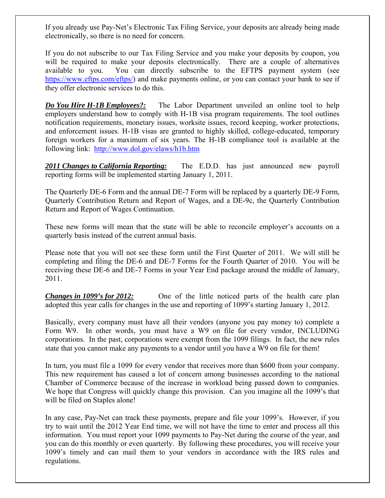If you already use Pay-Net's Electronic Tax Filing Service, your deposits are already being made electronically, so there is no need for concern.

If you do not subscribe to our Tax Filing Service and you make your deposits by coupon, you will be required to make your deposits electronically. There are a couple of alternatives available to you. You can directly subscribe to the EFTPS payment system (see <https://www.eftps.com/eftps/>) and make payments online, or you can contact your bank to see if they offer electronic services to do this.

*Do You Hire H-1B Employees?:* The Labor Department unveiled an online tool to help employers understand how to comply with H-1B visa program requirements. The tool outlines notification requirements, monetary issues, worksite issues, record keeping, worker protections, and enforcement issues. H-1B visas are granted to highly skilled, college-educated, temporary foreign workers for a maximum of six years. The H-1B compliance tool is available at the following link: <http://www.dol.gov/elaws/h1b.htm>

*2011 Changes to California Reporting:* The E.D.D. has just announced new payroll reporting forms will be implemented starting January 1, 2011.

The Quarterly DE-6 Form and the annual DE-7 Form will be replaced by a quarterly DE-9 Form, Quarterly Contribution Return and Report of Wages, and a DE-9c, the Quarterly Contribution Return and Report of Wages Continuation.

These new forms will mean that the state will be able to reconcile employer's accounts on a quarterly basis instead of the current annual basis.

Please note that you will not see these form until the First Quarter of 2011. We will still be completing and filing the DE-6 and DE-7 Forms for the Fourth Quarter of 2010. You will be receiving these DE-6 and DE-7 Forms in your Year End package around the middle of January, 2011.

*Changes in 1099's for 2012:* One of the little noticed parts of the health care plan adopted this year calls for changes in the use and reporting of 1099's starting January 1, 2012.

Basically, every company must have all their vendors (anyone you pay money to) complete a Form W9. In other words, you must have a W9 on file for every vendor, INCLUDING corporations. In the past, corporations were exempt from the 1099 filings. In fact, the new rules state that you cannot make any payments to a vendor until you have a W9 on file for them!

In turn, you must file a 1099 for every vendor that receives more than \$600 from your company. This new requirement has caused a lot of concern among businesses according to the national Chamber of Commerce because of the increase in workload being passed down to companies. We hope that Congress will quickly change this provision. Can you imagine all the 1099's that will be filed on Staples alone!

In any case, Pay-Net can track these payments, prepare and file your 1099's. However, if you try to wait until the 2012 Year End time, we will not have the time to enter and process all this information. You must report your 1099 payments to Pay-Net during the course of the year, and you can do this monthly or even quarterly. By following these procedures, you will receive your 1099's timely and can mail them to your vendors in accordance with the IRS rules and regulations.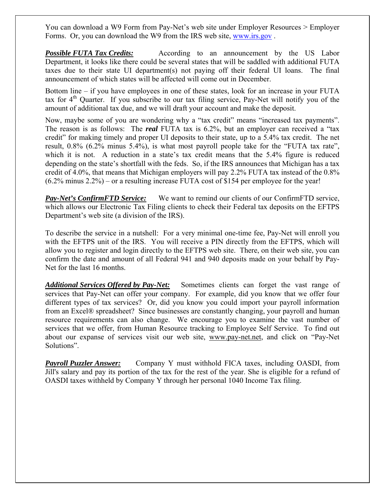You can download a W9 Form from Pay-Net's web site under Employer Resources > Employer Forms. Or, you can download the W9 from the IRS web site, [www.irs.gov](http://www.irs.gov/) .

*Possible FUTA Tax Credits:* According to an announcement by the US Labor Department, it looks like there could be several states that will be saddled with additional FUTA taxes due to their state UI department(s) not paying off their federal UI loans. The final announcement of which states will be affected will come out in December.

Bottom line – if you have employees in one of these states, look for an increase in your FUTA tax for 4<sup>th</sup> Quarter. If you subscribe to our tax filing service, Pay-Net will notify you of the amount of additional tax due, and we will draft your account and make the deposit.

Now, maybe some of you are wondering why a "tax credit" means "increased tax payments". The reason is as follows: The *real* FUTA tax is 6.2%, but an employer can received a "tax credit" for making timely and proper UI deposits to their state, up to a 5.4% tax credit. The net result, 0.8% (6.2% minus 5.4%), is what most payroll people take for the "FUTA tax rate", which it is not. A reduction in a state's tax credit means that the 5.4% figure is reduced depending on the state's shortfall with the feds. So, if the IRS announces that Michigan has a tax credit of 4.0%, that means that Michigan employers will pay 2.2% FUTA tax instead of the 0.8% (6.2% minus 2.2%) – or a resulting increase FUTA cost of \$154 per employee for the year!

*Pay-Net's ConfirmFTD Service:* We want to remind our clients of our ConfirmFTD service, which allows our Electronic Tax Filing clients to check their Federal tax deposits on the EFTPS Department's web site (a division of the IRS).

To describe the service in a nutshell: For a very minimal one-time fee, Pay-Net will enroll you with the EFTPS unit of the IRS. You will receive a PIN directly from the EFTPS, which will allow you to register and login directly to the EFTPS web site. There, on their web site, you can confirm the date and amount of all Federal 941 and 940 deposits made on your behalf by Pay-Net for the last 16 months.

*Additional Services Offered by Pay-Net:* Sometimes clients can forget the vast range of services that Pay-Net can offer your company. For example, did you know that we offer four different types of tax services? Or, did you know you could import your payroll information from an Excel® spreadsheet? Since businesses are constantly changing, your payroll and human resource requirements can also change. We encourage you to examine the vast number of services that we offer, from Human Resource tracking to Employee Self Service. To find out about our expanse of services visit our web site, [www.pay-net.net,](http://www.pay-net.net/) and click on "Pay-Net Solutions".

*Payroll Puzzler Answer:* Company Y must withhold FICA taxes, including OASDI, from Jill's salary and pay its portion of the tax for the rest of the year. She is eligible for a refund of OASDI taxes withheld by Company Y through her personal 1040 Income Tax filing.